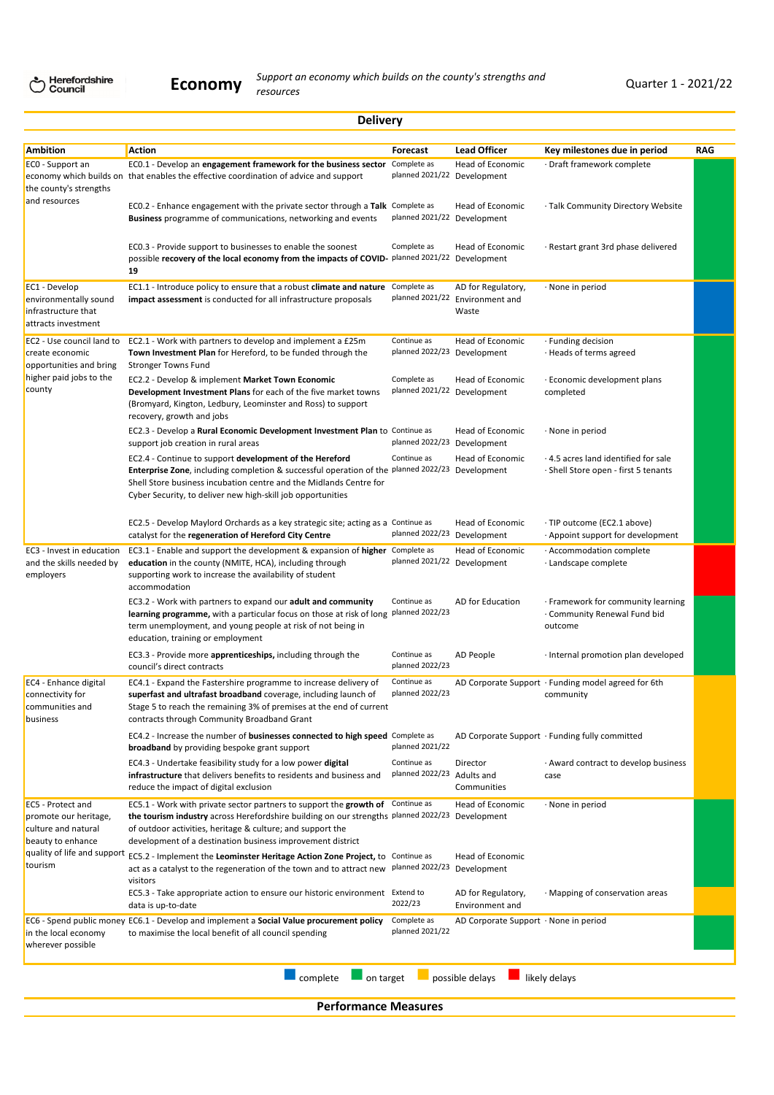|                                                                                        | <b>Delivery</b>                                                                                                                                                                                                                                                                                               |                                            |                                                                |                                                                              |            |
|----------------------------------------------------------------------------------------|---------------------------------------------------------------------------------------------------------------------------------------------------------------------------------------------------------------------------------------------------------------------------------------------------------------|--------------------------------------------|----------------------------------------------------------------|------------------------------------------------------------------------------|------------|
| <b>Ambition</b>                                                                        | Action                                                                                                                                                                                                                                                                                                        | Forecast                                   | <b>Lead Officer</b>                                            | Key milestones due in period                                                 | <b>RAG</b> |
| ECO - Support an<br>the county's strengths                                             | EC0.1 - Develop an engagement framework for the business sector<br>economy which builds on that enables the effective coordination of advice and support                                                                                                                                                      | Complete as<br>planned 2021/22             | Head of Economic<br>Development                                | · Draft framework complete                                                   |            |
| and resources                                                                          | EC0.2 - Enhance engagement with the private sector through a Talk Complete as<br>Business programme of communications, networking and events                                                                                                                                                                  | planned 2021/22 Development                | Head of Economic                                               | · Talk Community Directory Website                                           |            |
|                                                                                        | EC0.3 - Provide support to businesses to enable the soonest<br>possible recovery of the local economy from the impacts of COVID-<br>19                                                                                                                                                                        | Complete as<br>planned 2021/22 Development | Head of Economic                                               | · Restart grant 3rd phase delivered                                          |            |
| EC1 - Develop<br>environmentally sound<br>infrastructure that<br>attracts investment   | EC1.1 - Introduce policy to ensure that a robust climate and nature<br>impact assessment is conducted for all infrastructure proposals                                                                                                                                                                        | Complete as                                | AD for Regulatory,<br>planned 2021/22 Environment and<br>Waste | · None in period                                                             |            |
| EC2 - Use council land to<br>create economic<br>opportunities and bring                | EC2.1 - Work with partners to develop and implement a £25m<br>Town Investment Plan for Hereford, to be funded through the<br><b>Stronger Towns Fund</b>                                                                                                                                                       | Continue as<br>planned 2022/23             | Head of Economic<br>Development                                | · Funding decision<br>· Heads of terms agreed                                |            |
| higher paid jobs to the<br>county                                                      | EC2.2 - Develop & implement Market Town Economic<br>Development Investment Plans for each of the five market towns<br>(Bromyard, Kington, Ledbury, Leominster and Ross) to support<br>recovery, growth and jobs                                                                                               | Complete as<br>planned 2021/22 Development | Head of Economic                                               | Economic development plans<br>completed                                      |            |
|                                                                                        | EC2.3 - Develop a Rural Economic Development Investment Plan to Continue as<br>support job creation in rural areas                                                                                                                                                                                            | planned 2022/23 Development                | Head of Economic                                               | · None in period                                                             |            |
|                                                                                        | EC2.4 - Continue to support development of the Hereford<br>Enterprise Zone, including completion & successful operation of the planned 2022/23 Development<br>Shell Store business incubation centre and the Midlands Centre for<br>Cyber Security, to deliver new high-skill job opportunities               | Continue as                                | Head of Economic                                               | · 4.5 acres land identified for sale<br>· Shell Store open - first 5 tenants |            |
|                                                                                        | EC2.5 - Develop Maylord Orchards as a key strategic site; acting as a Continue as<br>catalyst for the regeneration of Hereford City Centre                                                                                                                                                                    | planned 2022/23 Development                | Head of Economic                                               | · TIP outcome (EC2.1 above)<br>Appoint support for development .             |            |
| EC3 - Invest in education<br>and the skills needed by<br>employers                     | EC3.1 - Enable and support the development & expansion of higher Complete as<br>education in the county (NMITE, HCA), including through<br>supporting work to increase the availability of student<br>accommodation                                                                                           | planned 2021/22 Development                | Head of Economic                                               | · Accommodation complete<br>· Landscape complete                             |            |
|                                                                                        | EC3.2 - Work with partners to expand our adult and community<br>learning programme, with a particular focus on those at risk of long planned 2022/23<br>term unemployment, and young people at risk of not being in<br>education, training or employment                                                      | Continue as                                | AD for Education                                               | · Framework for community learning<br>Community Renewal Fund bid<br>outcome  |            |
|                                                                                        | EC3.3 - Provide more apprenticeships, including through the<br>council's direct contracts                                                                                                                                                                                                                     | Continue as<br>planned 2022/23             | AD People                                                      | · Internal promotion plan developed                                          |            |
| EC4 - Enhance digital<br>connectivity for<br>communities and<br>business               | EC4.1 - Expand the Fastershire programme to increase delivery of<br>superfast and ultrafast broadband coverage, including launch of<br>Stage 5 to reach the remaining 3% of premises at the end of current<br>contracts through Community Broadband Grant                                                     | Continue as<br>planned 2022/23             |                                                                | AD Corporate Support · Funding model agreed for 6th<br>community             |            |
|                                                                                        | EC4.2 - Increase the number of businesses connected to high speed Complete as<br><b>broadband</b> by providing bespoke grant support                                                                                                                                                                          | planned 2021/22                            |                                                                | AD Corporate Support · Funding fully committed                               |            |
|                                                                                        | EC4.3 - Undertake feasibility study for a low power digital<br>infrastructure that delivers benefits to residents and business and<br>reduce the impact of digital exclusion                                                                                                                                  | Continue as<br>planned 2022/23 Adults and  | Director<br>Communities                                        | · Award contract to develop business<br>case                                 |            |
| EC5 - Protect and<br>promote our heritage,<br>culture and natural<br>beauty to enhance | EC5.1 - Work with private sector partners to support the growth of Continue as<br>the tourism industry across Herefordshire building on our strengths planned 2022/23 Development<br>of outdoor activities, heritage & culture; and support the<br>development of a destination business improvement district |                                            | Head of Economic                                               | · None in period                                                             |            |
| quality of life and support<br>tourism                                                 | EC5.2 - Implement the Leominster Heritage Action Zone Project, to Continue as<br>act as a catalyst to the regeneration of the town and to attract new<br>visitors                                                                                                                                             | planned 2022/23 Development                | Head of Economic                                               |                                                                              |            |
|                                                                                        | EC5.3 - Take appropriate action to ensure our historic environment Extend to<br>data is up-to-date                                                                                                                                                                                                            | 2022/23                                    | AD for Regulatory,<br>Environment and                          | · Mapping of conservation areas                                              |            |
| in the local economy<br>wherever possible                                              | EC6 - Spend public money EC6.1 - Develop and implement a Social Value procurement policy<br>to maximise the local benefit of all council spending                                                                                                                                                             | Complete as<br>planned 2021/22             | AD Corporate Support · None in period                          |                                                                              |            |

**Performance Measures**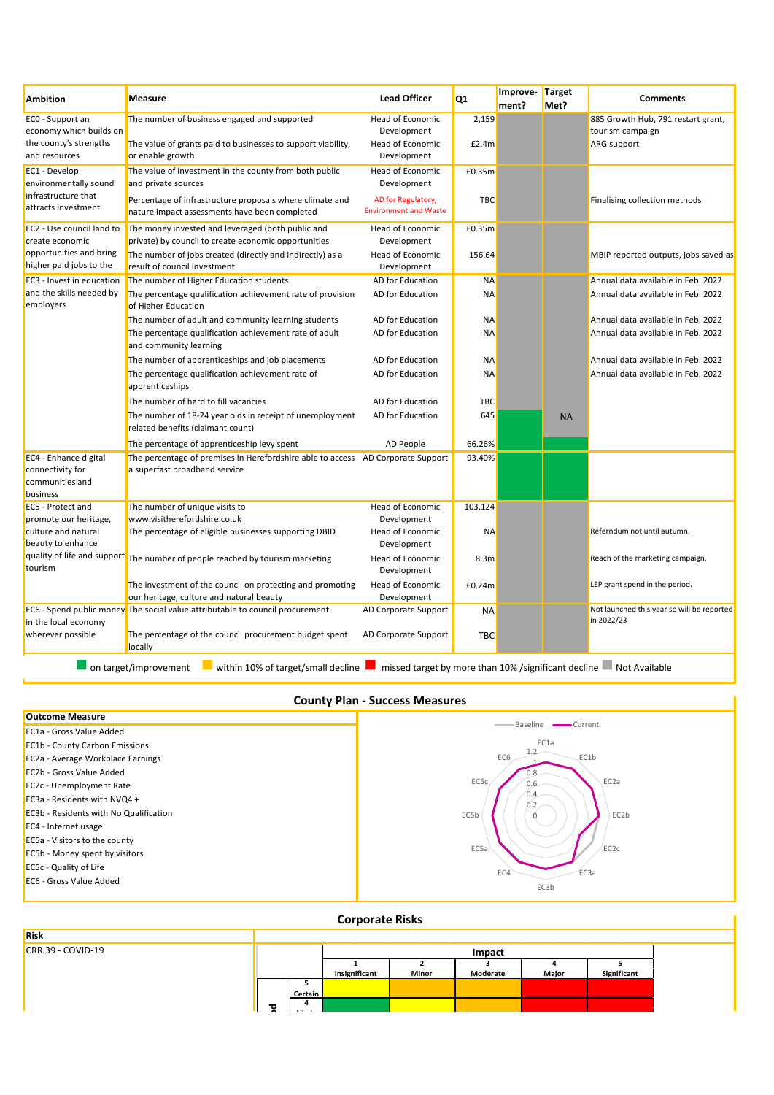| <b>Ambition</b>                                                                                    | <b>Measure</b>                                                                                                                                                                                         | <b>Lead Officer</b>                                                                   | Q <sub>1</sub>             | Improve-<br>ment? | Target<br>Met? | <b>Comments</b>                                                          |
|----------------------------------------------------------------------------------------------------|--------------------------------------------------------------------------------------------------------------------------------------------------------------------------------------------------------|---------------------------------------------------------------------------------------|----------------------------|-------------------|----------------|--------------------------------------------------------------------------|
| ECO - Support an<br>economy which builds on<br>the county's strengths<br>and resources             | The number of business engaged and supported<br>The value of grants paid to businesses to support viability,<br>or enable growth                                                                       | Head of Economic<br>Development<br>Head of Economic<br>Development                    | 2,159<br>£2.4m             |                   |                | 885 Growth Hub, 791 restart grant,<br>tourism campaign<br>ARG support    |
| EC1 - Develop<br>environmentally sound<br>infrastructure that<br>attracts investment               | The value of investment in the county from both public<br>and private sources<br>Percentage of infrastructure proposals where climate and<br>nature impact assessments have been completed             | Head of Economic<br>Development<br>AD for Regulatory,<br><b>Environment and Waste</b> | £0.35m<br><b>TBC</b>       |                   |                | Finalising collection methods                                            |
| EC2 - Use council land to<br>create economic<br>opportunities and bring<br>higher paid jobs to the | The money invested and leveraged (both public and<br>private) by council to create economic opportunities<br>The number of jobs created (directly and indirectly) as a<br>result of council investment | <b>Head of Economic</b><br>Development<br>Head of Economic<br>Development             | £0.35m<br>156.64           |                   |                | MBIP reported outputs, jobs saved as                                     |
| EC3 - Invest in education<br>and the skills needed by<br>employers                                 | The number of Higher Education students<br>The percentage qualification achievement rate of provision<br>of Higher Education                                                                           | AD for Education<br>AD for Education                                                  | <b>NA</b><br><b>NA</b>     |                   |                | Annual data available in Feb. 2022<br>Annual data available in Feb. 2022 |
|                                                                                                    | The number of adult and community learning students<br>The percentage qualification achievement rate of adult<br>and community learning                                                                | AD for Education<br>AD for Education                                                  | ΝA<br>ΝA                   |                   |                | Annual data available in Feb. 2022<br>Annual data available in Feb. 2022 |
|                                                                                                    | The number of apprenticeships and job placements<br>The percentage qualification achievement rate of<br>apprenticeships                                                                                | AD for Education<br>AD for Education                                                  | <b>NA</b><br>ΝA            |                   |                | Annual data available in Feb. 2022<br>Annual data available in Feb. 2022 |
|                                                                                                    | The number of hard to fill vacancies<br>The number of 18-24 year olds in receipt of unemployment<br>related benefits (claimant count)                                                                  | AD for Education<br>AD for Education                                                  | <b>TBC</b><br>645          |                   | <b>NA</b>      |                                                                          |
| EC4 - Enhance digital<br>connectivity for<br>communities and<br>business                           | The percentage of apprenticeship levy spent<br>The percentage of premises in Herefordshire able to access AD Corporate Support<br>a superfast broadband service                                        | AD People                                                                             | 66.26%<br>93.40%           |                   |                |                                                                          |
| EC5 - Protect and<br>promote our heritage,<br>culture and natural<br>beauty to enhance             | The number of unique visits to<br>www.visitherefordshire.co.uk<br>The percentage of eligible businesses supporting DBID                                                                                | Head of Economic<br>Development<br>Head of Economic<br>Development                    | 103,124<br><b>NA</b>       |                   |                | Referndum not until autumn.                                              |
| tourism                                                                                            | quality of life and support The number of people reached by tourism marketing<br>The investment of the council on protecting and promoting<br>our heritage, culture and natural beauty                 | Head of Economic<br>Development<br>Head of Economic<br>Development                    | 8.3 <sub>m</sub><br>£0.24m |                   |                | Reach of the marketing campaign.<br>LEP grant spend in the period.       |
| in the local economy<br>wherever possible                                                          | EC6 - Spend public money The social value attributable to council procurement<br>The percentage of the council procurement budget spent<br>locally                                                     | AD Corporate Support<br>AD Corporate Support                                          | <b>NA</b><br><b>TBC</b>    |                   |                | Not launched this year so will be reported<br>in 2022/23                 |
|                                                                                                    | within 10% of target/small decline<br>on target/improvement                                                                                                                                            |                                                                                       |                            |                   |                | missed target by more than 10% / significant decline Not Available       |

# **County Plan - Success Measures**

| <b>Outcome Measure</b>                        |                                 |
|-----------------------------------------------|---------------------------------|
| <b>EC1a - Gross Value Added</b>               | Current<br>Baseline -<br>$\sim$ |
| <b>EC1b - County Carbon Emissions</b>         | EC1a                            |
| EC2a - Average Workplace Earnings             | EC <sub>6</sub><br>EC1b         |
| <b>EC2b - Gross Value Added</b>               |                                 |
| <b>EC2c - Unemployment Rate</b>               | EC5c<br>EC2a<br>0.6             |
| EC3a - Residents with NVQ4 +                  | 0.4<br>0.2                      |
| <b>EC3b - Residents with No Qualification</b> | EC5b<br>EC2b                    |
| EC4 - Internet usage                          |                                 |
| <b>EC5a</b> - Visitors to the county          |                                 |
| <b>EC5b - Money spent by visitors</b>         | EC5a<br>EC <sub>2c</sub>        |
| <b>EC5c</b> - Quality of Life                 | EC4<br>EC3a                     |
| <b>EC6 - Gross Value Added</b>                | EC3b                            |
|                                               |                                 |

# **Corporate Risks**

| Risk                |    |          |               |       |          |       |             |
|---------------------|----|----------|---------------|-------|----------|-------|-------------|
| $CRR.39 - COVID-19$ |    |          |               |       | Impact   |       |             |
|                     |    |          |               |       |          |       |             |
|                     |    |          | Insignificant | Minor | Moderate | Major | Significant |
|                     |    |          |               |       |          |       |             |
|                     |    | Certain  |               |       |          |       |             |
|                     | তু |          |               |       |          |       |             |
|                     |    | $\cdots$ |               |       |          |       |             |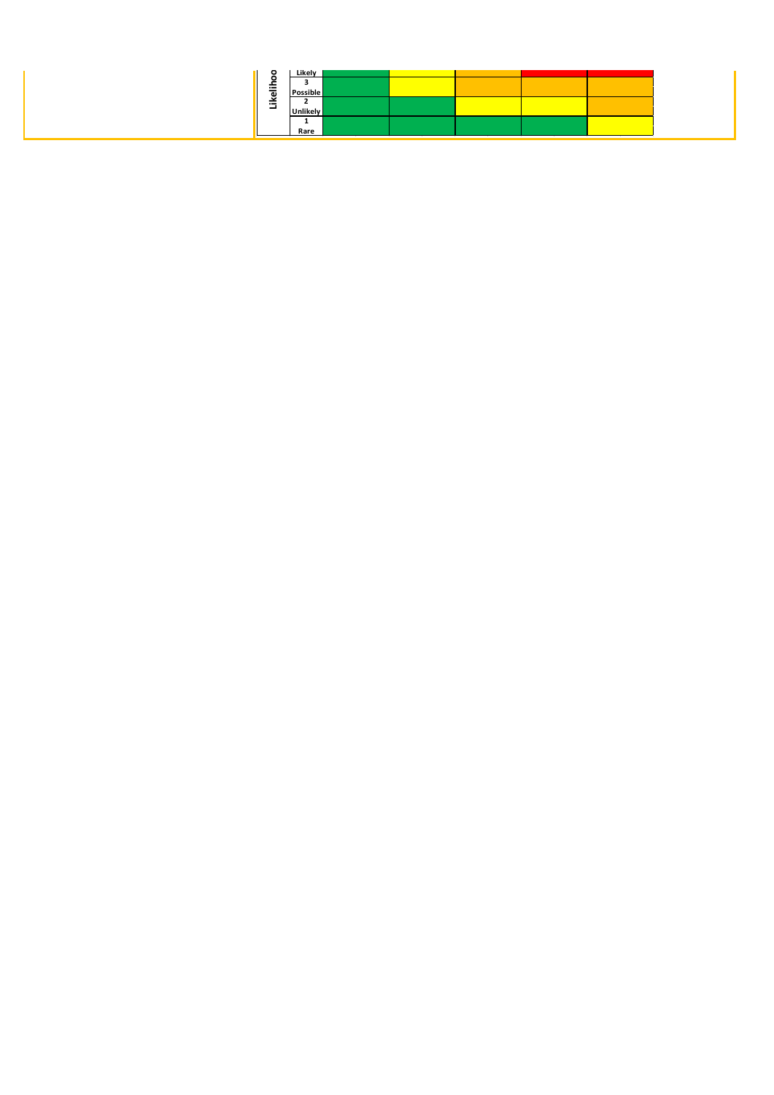| $\circ$      | Likely          |  |  |  |
|--------------|-----------------|--|--|--|
| $\circ$<br>- |                 |  |  |  |
| ikelih       | Possible        |  |  |  |
| ⊣            | <b>Unlikely</b> |  |  |  |
|              |                 |  |  |  |
|              | Rare            |  |  |  |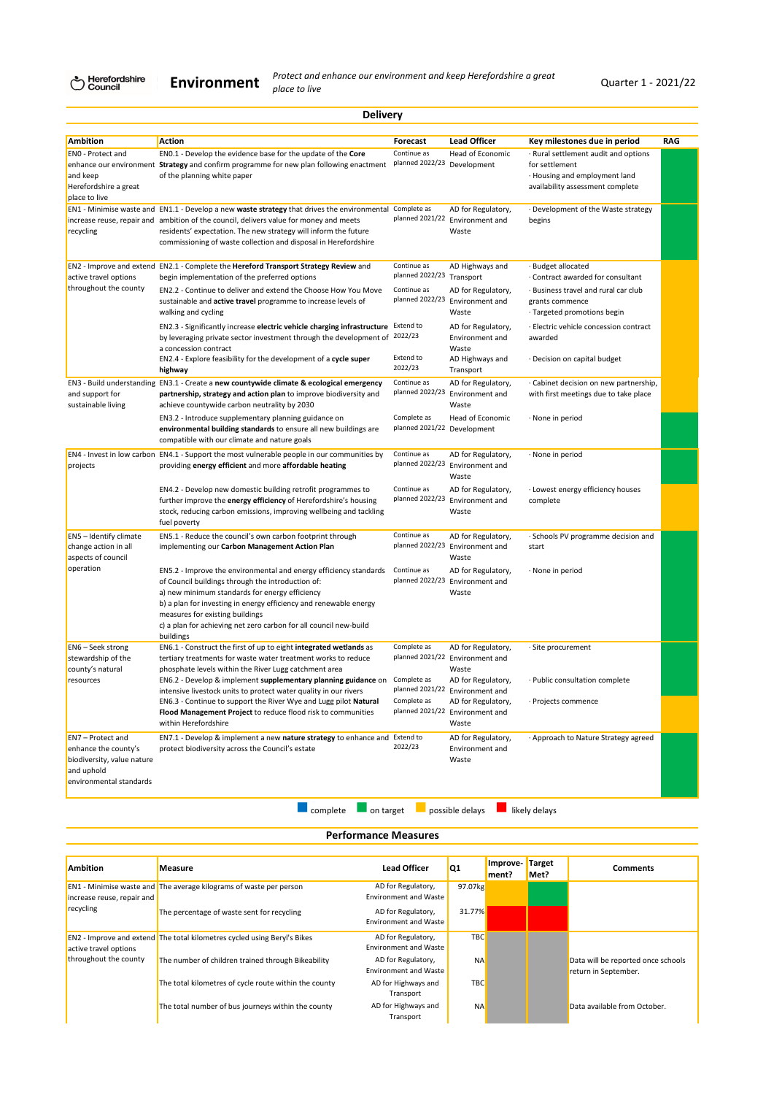Herefordshire<br>Council

**Environment**

*Protect and enhance our environment and keep Herefordshire a great place to live* Quarter 1 - 2021/22

|                                                                                                                         | <b>Delivery</b>                                                                                                                                                                                                                                                                                                                                                    |                                            |                                                                             |                                                                                                                           |     |
|-------------------------------------------------------------------------------------------------------------------------|--------------------------------------------------------------------------------------------------------------------------------------------------------------------------------------------------------------------------------------------------------------------------------------------------------------------------------------------------------------------|--------------------------------------------|-----------------------------------------------------------------------------|---------------------------------------------------------------------------------------------------------------------------|-----|
| <b>Ambition</b>                                                                                                         | Action                                                                                                                                                                                                                                                                                                                                                             | Forecast                                   | <b>Lead Officer</b>                                                         | Key milestones due in period                                                                                              | RAG |
| ENO - Protect and<br>and keep<br>Herefordshire a great<br>place to live                                                 | EN0.1 - Develop the evidence base for the update of the Core<br>enhance our environment Strategy and confirm programme for new plan following enactment<br>of the planning white paper                                                                                                                                                                             | Continue as<br>planned 2022/23 Development | Head of Economic                                                            | Rural settlement audit and options<br>for settlement<br>· Housing and employment land<br>availability assessment complete |     |
| recycling                                                                                                               | EN1 - Minimise waste and EN1.1 - Develop a new waste strategy that drives the environmental<br>increase reuse, repair and ambition of the council, delivers value for money and meets<br>residents' expectation. The new strategy will inform the future<br>commissioning of waste collection and disposal in Herefordshire                                        | Complete as                                | AD for Regulatory,<br>planned 2021/22 Environment and<br>Waste              | Development of the Waste strategy .<br>begins                                                                             |     |
| active travel options                                                                                                   | EN2 - Improve and extend EN2.1 - Complete the Hereford Transport Strategy Review and<br>begin implementation of the preferred options                                                                                                                                                                                                                              | Continue as<br>planned 2022/23 Transport   | AD Highways and                                                             | Budget allocated<br>Contract awarded for consultant                                                                       |     |
| throughout the county                                                                                                   | EN2.2 - Continue to deliver and extend the Choose How You Move<br>sustainable and active travel programme to increase levels of<br>walking and cycling                                                                                                                                                                                                             | Continue as                                | AD for Regulatory,<br>planned 2022/23 Environment and<br>Waste              | · Business travel and rural car club<br>grants commence<br>· Targeted promotions begin                                    |     |
|                                                                                                                         | EN2.3 - Significantly increase electric vehicle charging infrastructure Extend to<br>by leveraging private sector investment through the development of<br>a concession contract                                                                                                                                                                                   | 2022/23                                    | AD for Regulatory,<br>Environment and<br>Waste                              | · Electric vehicle concession contract<br>awarded                                                                         |     |
|                                                                                                                         | EN2.4 - Explore feasibility for the development of a cycle super<br>highway                                                                                                                                                                                                                                                                                        | Extend to<br>2022/23                       | AD Highways and<br>Transport                                                | · Decision on capital budget                                                                                              |     |
| and support for<br>sustainable living                                                                                   | EN3 - Build understanding EN3.1 - Create a new countywide climate & ecological emergency<br>partnership, strategy and action plan to improve biodiversity and<br>achieve countywide carbon neutrality by 2030                                                                                                                                                      | Continue as<br>planned 2022/23             | AD for Regulatory,<br>Environment and<br>Waste                              | Cabinet decision on new partnership,<br>with first meetings due to take place                                             |     |
|                                                                                                                         | EN3.2 - Introduce supplementary planning guidance on<br>environmental building standards to ensure all new buildings are<br>compatible with our climate and nature goals                                                                                                                                                                                           | Complete as<br>planned 2021/22 Development | Head of Economic                                                            | · None in period                                                                                                          |     |
| projects                                                                                                                | EN4 - Invest in low carbon EN4.1 - Support the most vulnerable people in our communities by<br>providing energy efficient and more affordable heating                                                                                                                                                                                                              | Continue as<br>planned 2022/23             | AD for Regulatory,<br>Environment and<br>Waste                              | · None in period                                                                                                          |     |
|                                                                                                                         | EN4.2 - Develop new domestic building retrofit programmes to<br>further improve the energy efficiency of Herefordshire's housing<br>stock, reducing carbon emissions, improving wellbeing and tackling<br>fuel poverty                                                                                                                                             | Continue as                                | AD for Regulatory,<br>planned 2022/23 Environment and<br>Waste              | · Lowest energy efficiency houses<br>complete                                                                             |     |
| EN5 - Identify climate<br>change action in all<br>aspects of council                                                    | EN5.1 - Reduce the council's own carbon footprint through<br>implementing our Carbon Management Action Plan                                                                                                                                                                                                                                                        | Continue as                                | AD for Regulatory,<br>planned 2022/23 Environment and<br>Waste              | · Schools PV programme decision and<br>start                                                                              |     |
| operation                                                                                                               | EN5.2 - Improve the environmental and energy efficiency standards<br>of Council buildings through the introduction of:<br>a) new minimum standards for energy efficiency<br>b) a plan for investing in energy efficiency and renewable energy<br>measures for existing buildings<br>c) a plan for achieving net zero carbon for all council new-build<br>buildings | Continue as<br>planned 2022/23             | AD for Regulatory,<br>Environment and<br>Waste                              | · None in period                                                                                                          |     |
| EN6 - Seek strong<br>stewardship of the<br>county's natural                                                             | EN6.1 - Construct the first of up to eight integrated wetlands as<br>tertiary treatments for waste water treatment works to reduce<br>phosphate levels within the River Lugg catchment area                                                                                                                                                                        | Complete as                                | AD for Regulatory,<br>planned 2021/22 Environment and<br>Waste              | Site procurement                                                                                                          |     |
| resources                                                                                                               | EN6.2 - Develop & implement supplementary planning guidance on Complete as<br>intensive livestock units to protect water quality in our rivers<br>EN6.3 - Continue to support the River Wye and Lugg pilot Natural                                                                                                                                                 | Complete as                                | AD for Regulatory,<br>planned 2021/22 Environment and<br>AD for Regulatory, | · Public consultation complete<br>· Projects commence                                                                     |     |
|                                                                                                                         | Flood Management Project to reduce flood risk to communities<br>within Herefordshire                                                                                                                                                                                                                                                                               |                                            | planned 2021/22 Environment and<br>Waste                                    |                                                                                                                           |     |
| <b>EN7</b> - Protect and<br>enhance the county's<br>biodiversity, value nature<br>and uphold<br>environmental standards | EN7.1 - Develop & implement a new nature strategy to enhance and<br>protect biodiversity across the Council's estate                                                                                                                                                                                                                                               | Extend to<br>2022/23                       | AD for Regulatory,<br>Environment and<br>Waste                              | · Approach to Nature Strategy agreed                                                                                      |     |

**lacks** complete **on** target **lacks** possible delays **and likely delays** 

**Performance Measures**

| <b>Ambition</b>            | <b>Measure</b>                                                                  | <b>Lead Officer</b>                                | Q <sub>1</sub> | Improve-<br>ment? | Target<br>Met? | <b>Comments</b>                                            |
|----------------------------|---------------------------------------------------------------------------------|----------------------------------------------------|----------------|-------------------|----------------|------------------------------------------------------------|
| increase reuse, repair and | EN1 - Minimise waste and The average kilograms of waste per person              | AD for Regulatory,<br><b>Environment and Waste</b> | 97.07kg        |                   |                |                                                            |
| recycling                  | The percentage of waste sent for recycling                                      | AD for Regulatory,<br><b>Environment and Waste</b> | 31.77%         |                   |                |                                                            |
| active travel options      | <b>EN2</b> - Improve and extend The total kilometres cycled using Beryl's Bikes | AD for Regulatory,<br><b>Environment and Waste</b> | <b>TBC</b>     |                   |                |                                                            |
| throughout the county      | The number of children trained through Bikeability                              | AD for Regulatory,<br><b>Environment and Waste</b> | <b>NA</b>      |                   |                | Data will be reported once schools<br>return in September. |
|                            | The total kilometres of cycle route within the county                           | AD for Highways and<br>Transport                   | <b>TBC</b>     |                   |                |                                                            |
|                            | The total number of bus journeys within the county                              | AD for Highways and<br>Transport                   | <b>NA</b>      |                   |                | Data available from October.                               |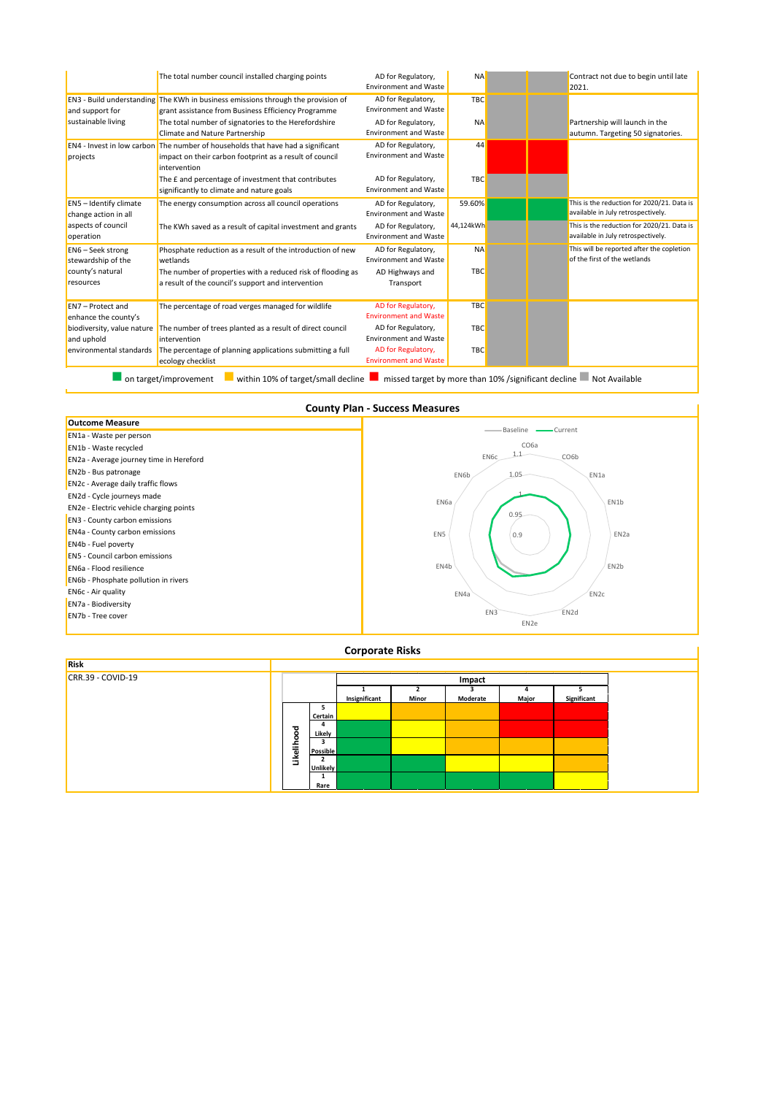|                                                |                                                                                                                                                                   | <b>Environment and Waste</b>                       |            | 2021.                                                                            |
|------------------------------------------------|-------------------------------------------------------------------------------------------------------------------------------------------------------------------|----------------------------------------------------|------------|----------------------------------------------------------------------------------|
| and support for                                | <b>EN3</b> - Build understanding The KWh in business emissions through the provision of<br>grant assistance from Business Efficiency Programme                    | AD for Regulatory,<br><b>Environment and Waste</b> | <b>TBC</b> |                                                                                  |
| sustainable living                             | The total number of signatories to the Herefordshire<br>Climate and Nature Partnership                                                                            | AD for Regulatory,<br><b>Environment and Waste</b> | <b>NA</b>  | Partnership will launch in the<br>autumn. Targeting 50 signatories.              |
| projects                                       | <b>EN4</b> - Invest in low carbon The number of households that have had a significant<br>impact on their carbon footprint as a result of council<br>intervention | AD for Regulatory,<br><b>Environment and Waste</b> | 44         |                                                                                  |
|                                                | The E and percentage of investment that contributes<br>significantly to climate and nature goals                                                                  | AD for Regulatory,<br><b>Environment and Waste</b> | <b>TBC</b> |                                                                                  |
| EN5 - Identify climate<br>change action in all | The energy consumption across all council operations                                                                                                              | AD for Regulatory,<br><b>Environment and Waste</b> | 59.60%     | This is the reduction for 2020/21. Data is<br>available in July retrospectively. |
| aspects of council<br>operation                | The KWh saved as a result of capital investment and grants                                                                                                        | AD for Regulatory,<br><b>Environment and Waste</b> | 44,124kWh  | This is the reduction for 2020/21. Data is<br>available in July retrospectively. |
| EN6 - Seek strong<br>stewardship of the        | Phosphate reduction as a result of the introduction of new<br>wetlands                                                                                            | AD for Regulatory,<br><b>Environment and Waste</b> | <b>NA</b>  | This will be reported after the copletion<br>of the first of the wetlands        |
| county's natural<br>resources                  | The number of properties with a reduced risk of flooding as<br>a result of the council's support and intervention                                                 | AD Highways and<br>Transport                       | <b>TBC</b> |                                                                                  |
| EN7 - Protect and<br>enhance the county's      | The percentage of road verges managed for wildlife                                                                                                                | AD for Regulatory,<br><b>Environment and Waste</b> | <b>TBC</b> |                                                                                  |
| biodiversity, value nature<br>and uphold       | The number of trees planted as a result of direct council<br>intervention                                                                                         | AD for Regulatory,<br><b>Environment and Waste</b> | <b>TBC</b> |                                                                                  |
| environmental standards                        | The percentage of planning applications submitting a full<br>ecology checklist                                                                                    | AD for Regulatory,<br><b>Environment and Waste</b> | <b>TBC</b> |                                                                                  |

**County Plan - Success Measures**



### **Corporate Risks**

| Risk                |         |                 |               |       |          |       |             |
|---------------------|---------|-----------------|---------------|-------|----------|-------|-------------|
| $CRR.39 - COVID-19$ |         |                 |               |       | Impact   |       |             |
|                     |         |                 |               |       |          |       |             |
|                     |         |                 | Insignificant | Minor | Moderate | Major | Significant |
|                     |         |                 |               |       |          |       |             |
|                     |         | Certain         |               |       |          |       |             |
|                     |         |                 |               |       |          |       |             |
|                     | ood     | Likely          |               |       |          |       |             |
|                     |         |                 |               |       |          |       |             |
|                     |         | <b>Possible</b> |               |       |          |       |             |
|                     | Likelih |                 |               |       |          |       |             |
|                     |         | Unlikely        |               |       |          |       |             |
|                     |         |                 |               |       |          |       |             |
|                     |         | Rare            |               |       |          |       |             |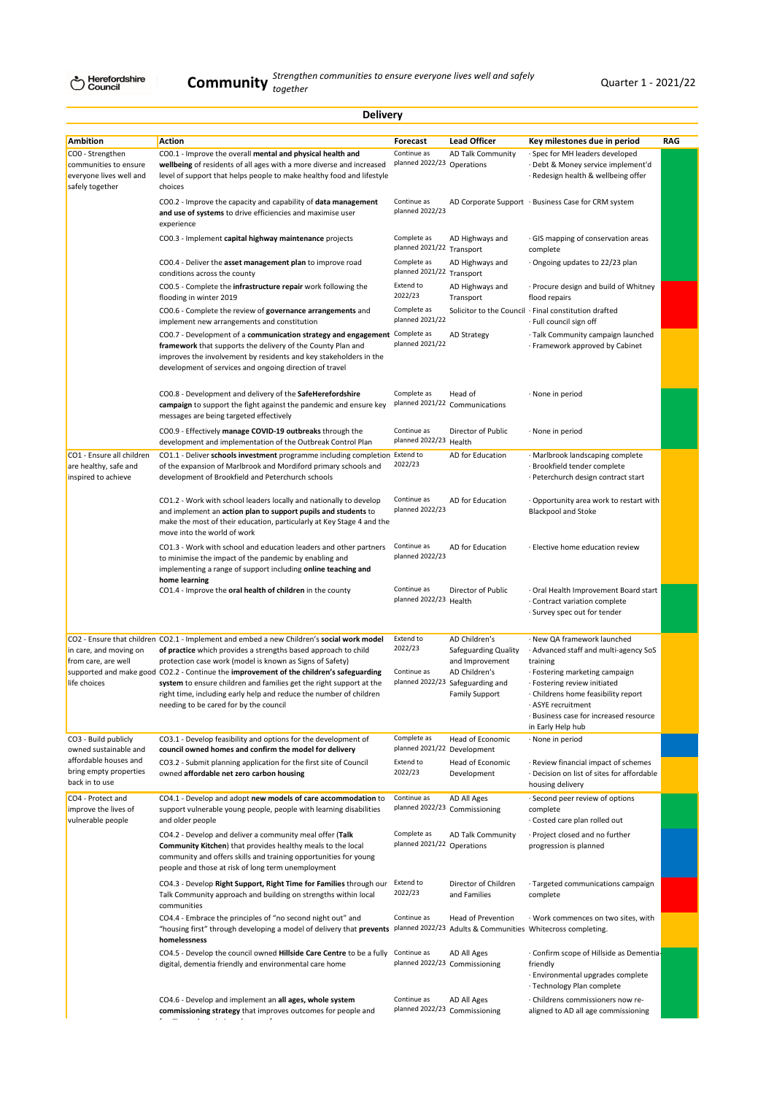|                                                                                         | <b>Delivery</b>                                                                                                                                                                                                                                                                                                                            |                                                       |                                                                                               |                                                                                                                                                                                                    |     |
|-----------------------------------------------------------------------------------------|--------------------------------------------------------------------------------------------------------------------------------------------------------------------------------------------------------------------------------------------------------------------------------------------------------------------------------------------|-------------------------------------------------------|-----------------------------------------------------------------------------------------------|----------------------------------------------------------------------------------------------------------------------------------------------------------------------------------------------------|-----|
| <b>Ambition</b><br>COO - Strengthen<br>communities to ensure<br>everyone lives well and | Action<br>CO0.1 - Improve the overall mental and physical health and<br>wellbeing of residents of all ages with a more diverse and increased<br>level of support that helps people to make healthy food and lifestyle                                                                                                                      | Forecast<br>Continue as<br>planned 2022/23 Operations | <b>Lead Officer</b><br>AD Talk Community                                                      | Key milestones due in period<br>Spec for MH leaders developed<br>· Debt & Money service implement'd<br>· Redesign health & wellbeing offer                                                         | RAG |
| safely together                                                                         | choices<br>CO0.2 - Improve the capacity and capability of data management<br>and use of systems to drive efficiencies and maximise user<br>experience                                                                                                                                                                                      | Continue as<br>planned 2022/23                        |                                                                                               | AD Corporate Support · Business Case for CRM system                                                                                                                                                |     |
|                                                                                         | CO0.3 - Implement capital highway maintenance projects                                                                                                                                                                                                                                                                                     | Complete as<br>planned 2021/22 Transport              | AD Highways and                                                                               | GIS mapping of conservation areas<br>complete                                                                                                                                                      |     |
|                                                                                         | CO0.4 - Deliver the asset management plan to improve road<br>conditions across the county                                                                                                                                                                                                                                                  | Complete as<br>planned 2021/22 Transport              | AD Highways and                                                                               | · Ongoing updates to 22/23 plan                                                                                                                                                                    |     |
|                                                                                         | CO0.5 - Complete the <b>infrastructure repair</b> work following the<br>flooding in winter 2019                                                                                                                                                                                                                                            | Extend to<br>2022/23                                  | AD Highways and<br>Transport                                                                  | · Procure design and build of Whitney<br>flood repairs                                                                                                                                             |     |
|                                                                                         | CO0.6 - Complete the review of governance arrangements and<br>implement new arrangements and constitution                                                                                                                                                                                                                                  | Complete as<br>planned 2021/22                        |                                                                                               | Solicitor to the Council · Final constitution drafted<br>· Full council sign off                                                                                                                   |     |
|                                                                                         | CO0.7 - Development of a communication strategy and engagement Complete as<br>framework that supports the delivery of the County Plan and<br>improves the involvement by residents and key stakeholders in the<br>development of services and ongoing direction of travel                                                                  | planned 2021/22                                       | <b>AD Strategy</b>                                                                            | · Talk Community campaign launched<br>· Framework approved by Cabinet                                                                                                                              |     |
|                                                                                         | CO0.8 - Development and delivery of the SafeHerefordshire<br>campaign to support the fight against the pandemic and ensure key<br>messages are being targeted effectively                                                                                                                                                                  | Complete as                                           | Head of<br>planned 2021/22 Communications                                                     | · None in period                                                                                                                                                                                   |     |
|                                                                                         | CO0.9 - Effectively manage COVID-19 outbreaks through the<br>development and implementation of the Outbreak Control Plan                                                                                                                                                                                                                   | Continue as<br>planned 2022/23 Health                 | Director of Public                                                                            | · None in period                                                                                                                                                                                   |     |
| CO1 - Ensure all children<br>are healthy, safe and<br>inspired to achieve               | CO1.1 - Deliver schools investment programme including completion Extend to<br>of the expansion of Marlbrook and Mordiford primary schools and<br>development of Brookfield and Peterchurch schools                                                                                                                                        | 2022/23                                               | AD for Education                                                                              | · Marlbrook landscaping complete<br>· Brookfield tender complete<br>· Peterchurch design contract start                                                                                            |     |
|                                                                                         | CO1.2 - Work with school leaders locally and nationally to develop<br>and implement an action plan to support pupils and students to<br>make the most of their education, particularly at Key Stage 4 and the<br>move into the world of work                                                                                               | Continue as<br>planned 2022/23                        | AD for Education                                                                              | Opportunity area work to restart with<br><b>Blackpool and Stoke</b>                                                                                                                                |     |
|                                                                                         | CO1.3 - Work with school and education leaders and other partners<br>to minimise the impact of the pandemic by enabling and<br>implementing a range of support including online teaching and                                                                                                                                               | Continue as<br>planned 2022/23                        | AD for Education                                                                              | · Elective home education review                                                                                                                                                                   |     |
|                                                                                         | home learning<br>CO1.4 - Improve the oral health of children in the county                                                                                                                                                                                                                                                                 | Continue as<br>planned 2022/23 Health                 | Director of Public                                                                            | · Oral Health Improvement Board start<br>· Contract variation complete<br>· Survey spec out for tender                                                                                             |     |
| in care, and moving on                                                                  | CO2 - Ensure that children CO2.1 - Implement and embed a new Children's social work model<br>of practice which provides a strengths based approach to child                                                                                                                                                                                | Extend to<br>2022/23                                  | AD Children's<br>Safeguarding Quality                                                         | New QA framework launched<br>Advanced staff and multi-agency SoS                                                                                                                                   |     |
| from care, are well<br>life choices                                                     | protection case work (model is known as Signs of Safety)<br>supported and make good CO2.2 - Continue the improvement of the children's safeguarding<br>system to ensure children and families get the right support at the<br>right time, including early help and reduce the number of children<br>needing to be cared for by the council | Continue as                                           | and Improvement<br>AD Children's<br>planned 2022/23 Safeguarding and<br><b>Family Support</b> | training<br>· Fostering marketing campaign<br>· Fostering review initiated<br>Childrens home feasibility report<br>ASYE recruitment<br>· Business case for increased resource<br>in Early Help hub |     |
| CO3 - Build publicly<br>owned sustainable and                                           | CO3.1 - Develop feasibility and options for the development of<br>council owned homes and confirm the model for delivery                                                                                                                                                                                                                   | Complete as<br>planned 2021/22 Development            | Head of Economic                                                                              | · None in period                                                                                                                                                                                   |     |
| affordable houses and<br>bring empty properties<br>back in to use                       | CO3.2 - Submit planning application for the first site of Council<br>owned affordable net zero carbon housing                                                                                                                                                                                                                              | Extend to<br>2022/23                                  | Head of Economic<br>Development                                                               | · Review financial impact of schemes<br>· Decision on list of sites for affordable<br>housing delivery                                                                                             |     |
| CO4 - Protect and<br>improve the lives of<br>vulnerable people                          | CO4.1 - Develop and adopt new models of care accommodation to<br>support vulnerable young people, people with learning disabilities<br>and older people                                                                                                                                                                                    | Continue as                                           | AD All Ages<br>planned 2022/23 Commissioning                                                  | Second peer review of options<br>complete<br>· Costed care plan rolled out                                                                                                                         |     |
|                                                                                         | CO4.2 - Develop and deliver a community meal offer (Talk<br>Community Kitchen) that provides healthy meals to the local<br>community and offers skills and training opportunities for young<br>people and those at risk of long term unemployment                                                                                          | Complete as<br>planned 2021/22 Operations             | <b>AD Talk Community</b>                                                                      | · Project closed and no further<br>progression is planned                                                                                                                                          |     |
|                                                                                         | CO4.3 - Develop Right Support, Right Time for Families through our<br>Talk Community approach and building on strengths within local<br>communities                                                                                                                                                                                        | Extend to<br>2022/23                                  | Director of Children<br>and Families                                                          | · Targeted communications campaign<br>complete                                                                                                                                                     |     |
|                                                                                         | CO4.4 - Embrace the principles of "no second night out" and<br>"housing first" through developing a model of delivery that prevents<br>homelessness                                                                                                                                                                                        | Continue as                                           | Head of Prevention                                                                            | · Work commences on two sites, with<br>planned 2022/23 Adults & Communities Whitecross completing.                                                                                                 |     |
|                                                                                         | CO4.5 - Develop the council owned Hillside Care Centre to be a fully<br>digital, dementia friendly and environmental care home                                                                                                                                                                                                             | Continue as                                           | AD All Ages<br>planned 2022/23 Commissioning                                                  | · Confirm scope of Hillside as Dementia-<br>friendly<br>· Environmental upgrades complete<br>· Technology Plan complete                                                                            |     |
|                                                                                         | CO4.6 - Develop and implement an all ages, whole system<br>commissioning strategy that improves outcomes for people and                                                                                                                                                                                                                    | Continue as                                           | AD All Ages<br>planned 2022/23 Commissioning                                                  | · Childrens commissioners now re-<br>aligned to AD all age commissioning                                                                                                                           |     |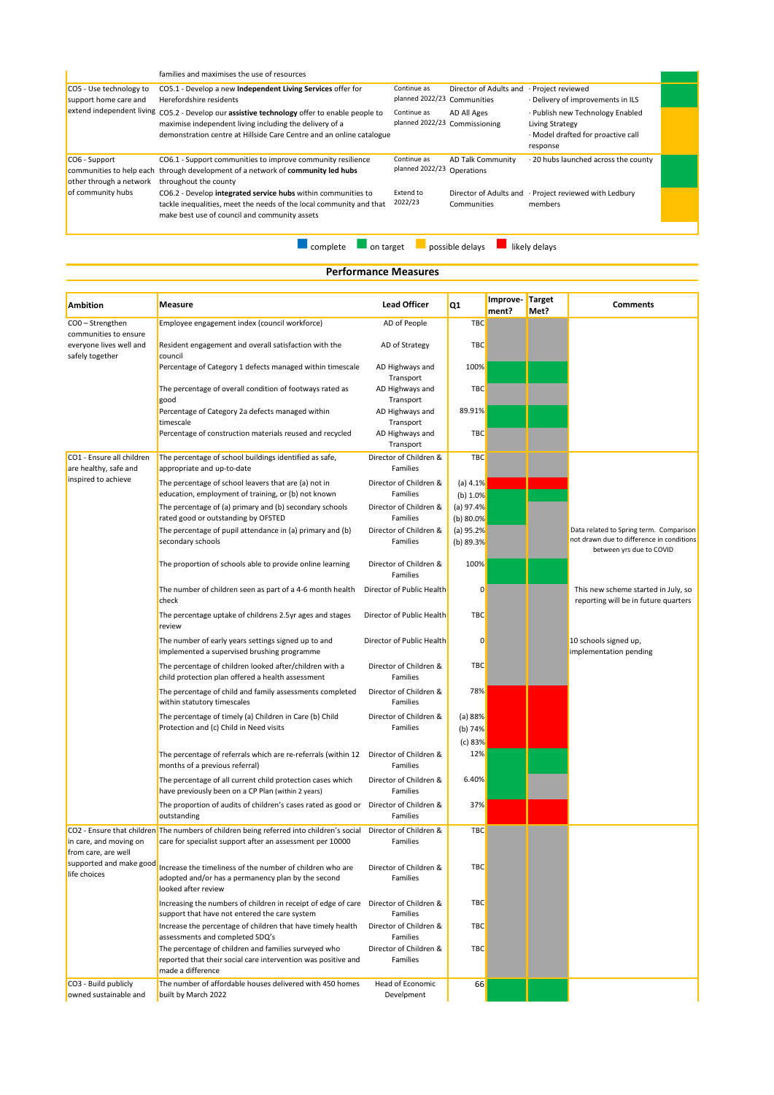|                                                                      | families and maximises the use of resources                                                                                                                                                                                     |                                            |                                        |                                                                                                       |  |
|----------------------------------------------------------------------|---------------------------------------------------------------------------------------------------------------------------------------------------------------------------------------------------------------------------------|--------------------------------------------|----------------------------------------|-------------------------------------------------------------------------------------------------------|--|
| CO5 - Use technology to<br>support home care and                     | CO5.1 - Develop a new Independent Living Services offer for<br>Herefordshire residents                                                                                                                                          | Continue as<br>planned 2022/23 Communities | Director of Adults and                 | · Project reviewed<br>· Delivery of improvements in ILS                                               |  |
|                                                                      | extend independent living CO5.2 - Develop our assistive technology offer to enable people to<br>maximise independent living including the delivery of a<br>demonstration centre at Hillside Care Centre and an online catalogue | Continue as<br>planned 2022/23             | AD All Ages<br>Commissioning           | · Publish new Technology Enabled<br>Living Strategy<br>· Model drafted for proactive call<br>response |  |
| CO6 - Support<br>communities to help each<br>other through a network | CO6.1 - Support communities to improve community resilience<br>through development of a network of community led hubs<br>throughout the county                                                                                  | Continue as<br>planned 2022/23             | <b>AD Talk Community</b><br>Operations | . 20 hubs launched across the county                                                                  |  |
| of community hubs                                                    | CO6.2 - Develop integrated service hubs within communities to<br>tackle inequalities, meet the needs of the local community and that<br>make best use of council and community assets                                           | Extend to<br>2022/23                       | Communities                            | Director of Adults and · Project reviewed with Ledbury<br>members                                     |  |
|                                                                      |                                                                                                                                                                                                                                 |                                            |                                        |                                                                                                       |  |

**lackulary** complete **on** target **a** possible delays **a** likely delays

# **Performance Measures**

| <b>Ambition</b>                                                     | Measure                                                                                                                                                                       | <b>Lead Officer</b>                            | Q <sub>1</sub>           | Improve- | <b>Target</b> | <b>Comments</b>                                                             |
|---------------------------------------------------------------------|-------------------------------------------------------------------------------------------------------------------------------------------------------------------------------|------------------------------------------------|--------------------------|----------|---------------|-----------------------------------------------------------------------------|
| COO-Strengthen                                                      | Employee engagement index (council workforce)                                                                                                                                 | AD of People                                   | TBC                      | ment?    | Met?          |                                                                             |
| communities to ensure<br>everyone lives well and<br>safely together | Resident engagement and overall satisfaction with the<br>council                                                                                                              | AD of Strategy                                 | TBC                      |          |               |                                                                             |
|                                                                     | Percentage of Category 1 defects managed within timescale                                                                                                                     | AD Highways and<br>Transport                   | 100%                     |          |               |                                                                             |
|                                                                     | The percentage of overall condition of footways rated as<br>good                                                                                                              | AD Highways and<br>Transport                   | TBC                      |          |               |                                                                             |
|                                                                     | Percentage of Category 2a defects managed within<br>timescale                                                                                                                 | AD Highways and<br>Transport                   | 89.91%                   |          |               |                                                                             |
|                                                                     | Percentage of construction materials reused and recycled                                                                                                                      | AD Highways and<br>Transport                   | TBC                      |          |               |                                                                             |
| CO1 - Ensure all children                                           | The percentage of school buildings identified as safe,                                                                                                                        | Director of Children &                         | TBC                      |          |               |                                                                             |
| are healthy, safe and<br>inspired to achieve                        | appropriate and up-to-date<br>The percentage of school leavers that are (a) not in                                                                                            | Families<br>Director of Children &             | (a) $4.1\%$              |          |               |                                                                             |
|                                                                     | education, employment of training, or (b) not known                                                                                                                           | Families                                       | (b) $1.0\%$              |          |               |                                                                             |
|                                                                     | The percentage of (a) primary and (b) secondary schools                                                                                                                       | Director of Children &                         | (a) $97.4%$              |          |               |                                                                             |
|                                                                     | rated good or outstanding by OFSTED<br>The percentage of pupil attendance in (a) primary and (b)                                                                              | <b>Families</b><br>Director of Children &      | (b) 80.0%<br>(a) $95.2%$ |          |               | Data related to Spring term. Comparison                                     |
|                                                                     | secondary schools                                                                                                                                                             | <b>Families</b>                                | (b) 89.3%                |          |               | not drawn due to difference in conditions<br>between yrs due to COVID       |
|                                                                     | The proportion of schools able to provide online learning                                                                                                                     | Director of Children &<br>Families             | 100%                     |          |               |                                                                             |
|                                                                     | The number of children seen as part of a 4-6 month health<br>check                                                                                                            | Director of Public Health                      | 0                        |          |               | This new scheme started in July, so<br>reporting will be in future quarters |
|                                                                     | The percentage uptake of childrens 2.5yr ages and stages<br>review                                                                                                            | Director of Public Health                      | TBC                      |          |               |                                                                             |
|                                                                     | The number of early years settings signed up to and<br>implemented a supervised brushing programme                                                                            | Director of Public Health                      | 0                        |          |               | 10 schools signed up,<br>implementation pending                             |
|                                                                     | The percentage of children looked after/children with a<br>child protection plan offered a health assessment                                                                  | Director of Children &<br>Families             | TBC                      |          |               |                                                                             |
|                                                                     | The percentage of child and family assessments completed<br>within statutory timescales                                                                                       | Director of Children &<br>Families             | 78%                      |          |               |                                                                             |
|                                                                     | The percentage of timely (a) Children in Care (b) Child<br>Protection and (c) Child in Need visits                                                                            | Director of Children &<br>Families             | (a) 88%<br>(b) 74%       |          |               |                                                                             |
|                                                                     |                                                                                                                                                                               |                                                | (c) 83%                  |          |               |                                                                             |
|                                                                     | The percentage of referrals which are re-referrals (within 12<br>months of a previous referral)                                                                               | Director of Children &<br>Families             | 12%                      |          |               |                                                                             |
|                                                                     | The percentage of all current child protection cases which<br>have previously been on a CP Plan (within 2 years)                                                              | Director of Children &<br>Families             | 6.40%                    |          |               |                                                                             |
|                                                                     | The proportion of audits of children's cases rated as good or Director of Children &<br>outstanding                                                                           | Families                                       | 37%                      |          |               |                                                                             |
| in care, and moving on<br>from care, are well                       | CO2 - Ensure that children The numbers of children being referred into children's social<br>care for specialist support after an assessment per 10000                         | Director of Children &<br>Families             | <b>TBC</b>               |          |               |                                                                             |
| supported and make good<br>life choices                             | Increase the timeliness of the number of children who are<br>adopted and/or has a permanency plan by the second<br>looked after review                                        | Director of Children &<br>Families             | TBC                      |          |               |                                                                             |
|                                                                     | Increasing the numbers of children in receipt of edge of care Director of Children &<br>support that have not entered the care system                                         | Families                                       | TBC                      |          |               |                                                                             |
|                                                                     | Increase the percentage of children that have timely health                                                                                                                   | Director of Children &                         | <b>TBC</b>               |          |               |                                                                             |
|                                                                     | assessments and completed SDQ's<br>The percentage of children and families surveyed who<br>reported that their social care intervention was positive and<br>made a difference | Families<br>Director of Children &<br>Families | TBC                      |          |               |                                                                             |
| CO3 - Build publicly<br>owned sustainable and                       | The number of affordable houses delivered with 450 homes<br>built by March 2022                                                                                               | Head of Economic<br>Develpment                 | 66                       |          |               |                                                                             |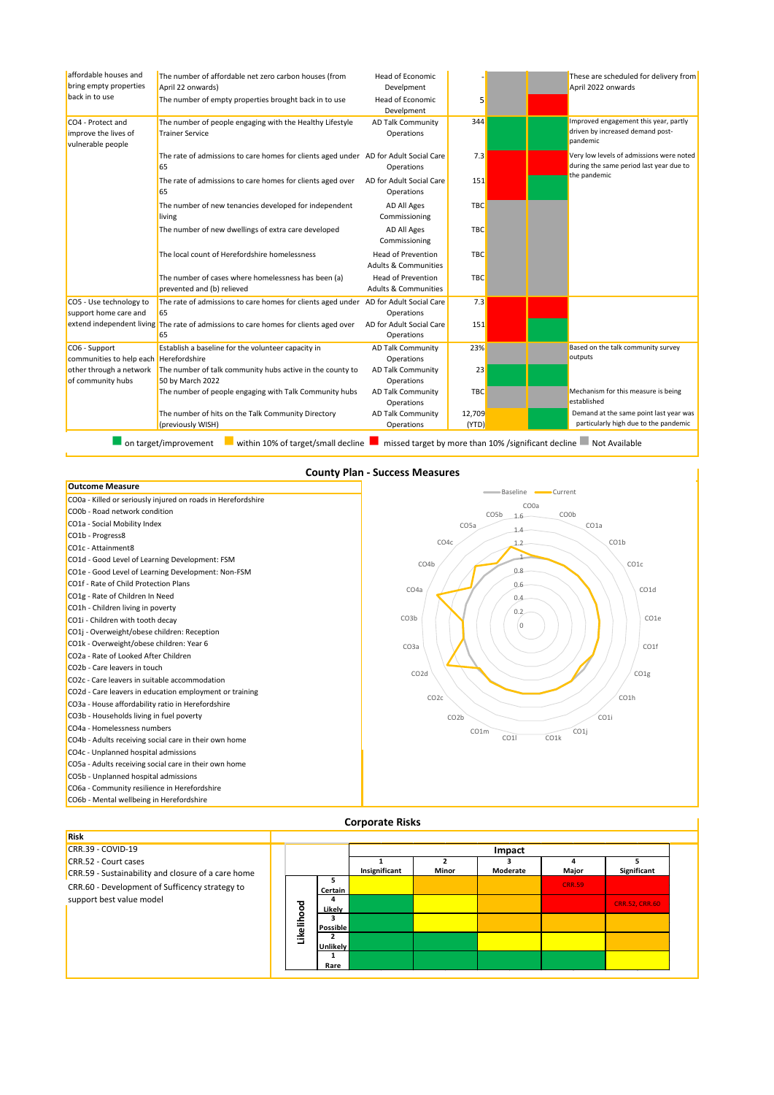| affordable houses and<br>bring empty properties                | The number of affordable net zero carbon houses (from<br>April 22 onwards)                       | <b>Head of Economic</b><br>Develpment                        |                 | These are scheduled for delivery from<br>April 2022 onwards                           |
|----------------------------------------------------------------|--------------------------------------------------------------------------------------------------|--------------------------------------------------------------|-----------------|---------------------------------------------------------------------------------------|
| back in to use                                                 | The number of empty properties brought back in to use                                            | <b>Head of Economic</b><br>Develpment                        | 5               |                                                                                       |
| CO4 - Protect and<br>improve the lives of<br>vulnerable people | The number of people engaging with the Healthy Lifestyle<br><b>Trainer Service</b>               | <b>AD Talk Community</b><br>Operations                       | 344             | Improved engagement this year, partly<br>driven by increased demand post-<br>pandemic |
|                                                                | The rate of admissions to care homes for clients aged under AD for Adult Social Care<br>65       | Operations                                                   | 7.3             | Very low levels of admissions were noted<br>during the same period last year due to   |
|                                                                | The rate of admissions to care homes for clients aged over<br>65                                 | AD for Adult Social Care<br>Operations                       | 151             | the pandemic                                                                          |
|                                                                | The number of new tenancies developed for independent<br>living                                  | AD All Ages<br>Commissioning                                 | <b>TBC</b>      |                                                                                       |
|                                                                | The number of new dwellings of extra care developed                                              | <b>AD All Ages</b><br>Commissioning                          | <b>TBC</b>      |                                                                                       |
|                                                                | The local count of Herefordshire homelessness                                                    | Head of Prevention<br><b>Adults &amp; Communities</b>        | <b>TBC</b>      |                                                                                       |
|                                                                | The number of cases where homelessness has been (a)<br>prevented and (b) relieved                | <b>Head of Prevention</b><br><b>Adults &amp; Communities</b> | <b>TBC</b>      |                                                                                       |
| CO5 - Use technology to                                        | The rate of admissions to care homes for clients aged under                                      | AD for Adult Social Care                                     | 7.3             |                                                                                       |
| support home care and                                          | 65<br>extend independent living The rate of admissions to care homes for clients aged over<br>65 | Operations<br>AD for Adult Social Care<br>Operations         | 151             |                                                                                       |
| CO6 - Support<br>communities to help each Herefordshire        | Establish a baseline for the volunteer capacity in                                               | <b>AD Talk Community</b><br>Operations                       | 23%             | Based on the talk community survey<br>outputs                                         |
| other through a network                                        | The number of talk community hubs active in the county to                                        | <b>AD Talk Community</b>                                     | 23              |                                                                                       |
| of community hubs                                              | 50 by March 2022<br>The number of people engaging with Talk Community hubs                       | Operations<br><b>AD Talk Community</b><br>Operations         | <b>TBC</b>      | Mechanism for this measure is being<br>established                                    |
|                                                                | The number of hits on the Talk Community Directory<br>(previously WISH)                          | <b>AD Talk Community</b><br>Operations                       | 12,709<br>(YTD) | Demand at the same point last year was<br>particularly high due to the pandemic       |

#### **County Plan - Success Measures**



| <b>Risk</b>                                                                |        |                      |               |       |          |               |                       |  |  |
|----------------------------------------------------------------------------|--------|----------------------|---------------|-------|----------|---------------|-----------------------|--|--|
| CRR.39 - COVID-19                                                          |        |                      | Impact        |       |          |               |                       |  |  |
| CRR.52 - Court cases<br>CRR.59 - Sustainability and closure of a care home |        |                      | Insignificant | Minor | Moderate | Major         | Significant           |  |  |
| CRR.60 - Development of Sufficency strategy to                             |        | 5<br>Certain         |               |       |          | <b>CRR.59</b> |                       |  |  |
| support best value model                                                   | ह      | 4<br>Likely          |               |       |          |               | <b>CRR.52, CRR.60</b> |  |  |
|                                                                            | o      | 3<br><b>Possible</b> |               |       |          |               |                       |  |  |
|                                                                            | Likeli | Unlikely             |               |       |          |               |                       |  |  |
|                                                                            |        | Rare                 |               |       |          |               |                       |  |  |

### **Corporate Risks**

Ï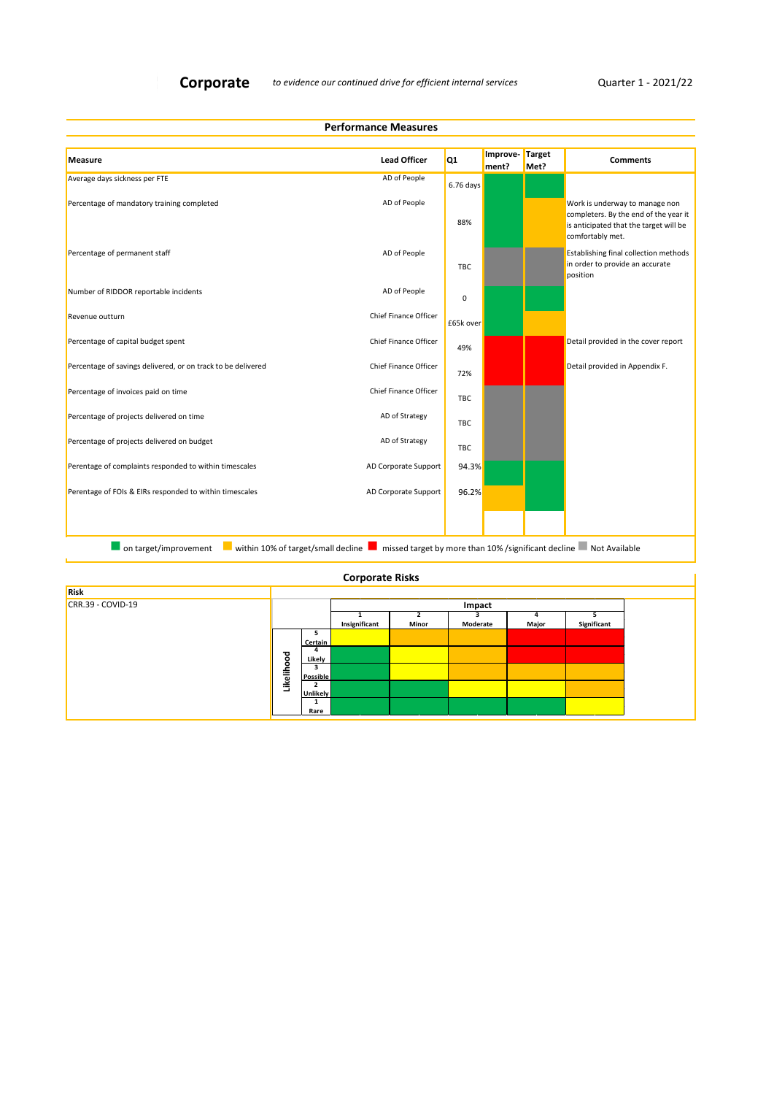**Performance Measures**

<u> 1989 - Johann Barbara, martin a</u>

| Measure                                                      | <b>Lead Officer</b>          | Q <sub>1</sub> | Improve-<br>ment? | Target<br>Met? | <b>Comments</b>                                                                                                                       |
|--------------------------------------------------------------|------------------------------|----------------|-------------------|----------------|---------------------------------------------------------------------------------------------------------------------------------------|
| Average days sickness per FTE                                | AD of People                 | 6.76 days      |                   |                |                                                                                                                                       |
| Percentage of mandatory training completed                   | AD of People                 | 88%            |                   |                | Work is underway to manage non<br>completers. By the end of the year it<br>is anticipated that the target will be<br>comfortably met. |
| Percentage of permanent staff                                | AD of People                 | <b>TBC</b>     |                   |                | Establishing final collection methods<br>in order to provide an accurate<br>position                                                  |
| Number of RIDDOR reportable incidents                        | AD of People                 | 0              |                   |                |                                                                                                                                       |
| Revenue outturn                                              | <b>Chief Finance Officer</b> | £65k over      |                   |                |                                                                                                                                       |
| Percentage of capital budget spent                           | <b>Chief Finance Officer</b> | 49%            |                   |                | Detail provided in the cover report                                                                                                   |
| Percentage of savings delivered, or on track to be delivered | Chief Finance Officer        | 72%            |                   |                | Detail provided in Appendix F.                                                                                                        |
| Percentage of invoices paid on time                          | Chief Finance Officer        | <b>TBC</b>     |                   |                |                                                                                                                                       |
| Percentage of projects delivered on time                     | AD of Strategy               | <b>TBC</b>     |                   |                |                                                                                                                                       |
| Percentage of projects delivered on budget                   | AD of Strategy               | <b>TBC</b>     |                   |                |                                                                                                                                       |
| Perentage of complaints responded to within timescales       | AD Corporate Support         | 94.3%          |                   |                |                                                                                                                                       |
| Perentage of FOIs & EIRs responded to within timescales      | AD Corporate Support         | 96.2%          |                   |                |                                                                                                                                       |
|                                                              |                              |                |                   |                |                                                                                                                                       |
| within 10% of target/small decline<br>on target/improvement  |                              |                |                   |                | missed target by more than 10% /significant decline Not Available                                                                     |

| <b>Corporate Risks</b> |  |
|------------------------|--|
|------------------------|--|

| Risk                |            |                 |               |       |          |       |             |  |
|---------------------|------------|-----------------|---------------|-------|----------|-------|-------------|--|
| $CRR.39 - COVID-19$ |            | Impact          |               |       |          |       |             |  |
|                     |            |                 |               |       |          | Δ     |             |  |
|                     |            |                 | Insignificant | Minor | Moderate | Major | Significant |  |
|                     |            |                 |               |       |          |       |             |  |
|                     |            | Certain         |               |       |          |       |             |  |
|                     | Likelihood | 4               |               |       |          |       |             |  |
|                     |            | Likely          |               |       |          |       |             |  |
|                     |            | 3               |               |       |          |       |             |  |
|                     |            | Possible        |               |       |          |       |             |  |
|                     |            | 2               |               |       |          |       |             |  |
|                     |            | <b>Unlikely</b> |               |       |          |       |             |  |
|                     |            |                 |               |       |          |       |             |  |
|                     |            | Rare            |               |       |          |       |             |  |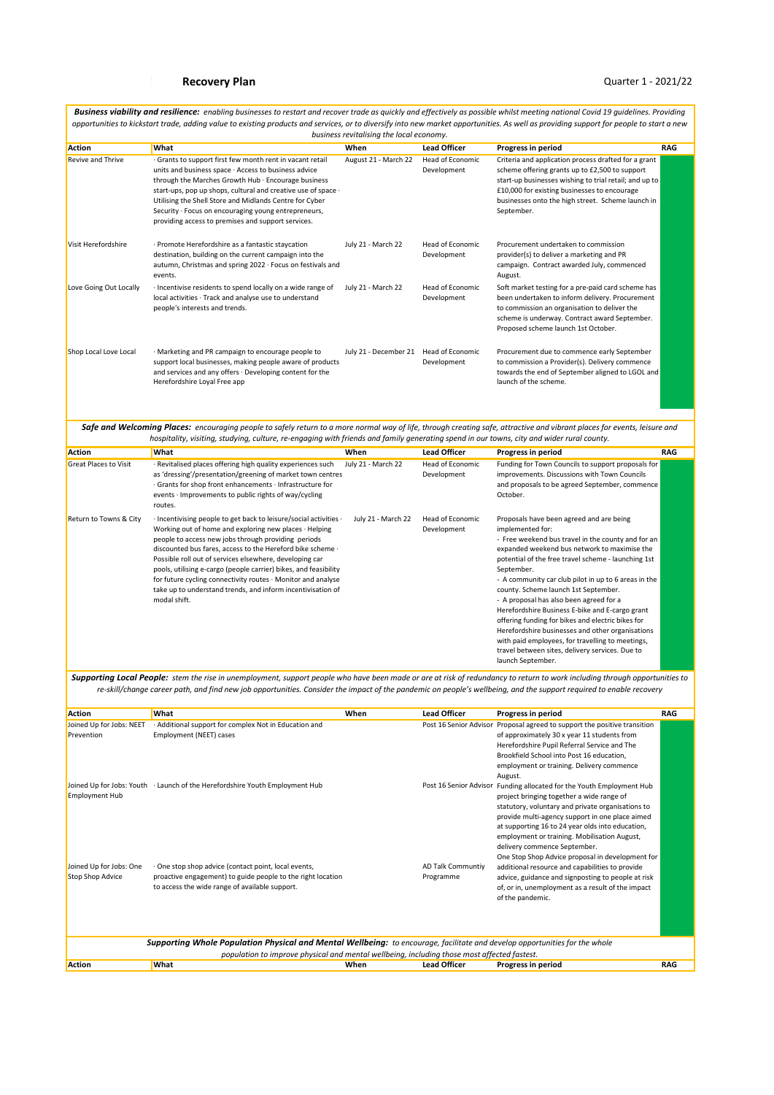|                                             | opportunities to kickstart trade, adding value to existing products and services, or to diversify into new market opportunities. As well as providing support for people to start a new                                                                                                                                                                                                                                                                                                                                        | business revitalising the local economy. |                                 |                                                                                                                                                                                                                                                                                                                                                                                                                                                                                                                                                                                                                                                                            |            |
|---------------------------------------------|--------------------------------------------------------------------------------------------------------------------------------------------------------------------------------------------------------------------------------------------------------------------------------------------------------------------------------------------------------------------------------------------------------------------------------------------------------------------------------------------------------------------------------|------------------------------------------|---------------------------------|----------------------------------------------------------------------------------------------------------------------------------------------------------------------------------------------------------------------------------------------------------------------------------------------------------------------------------------------------------------------------------------------------------------------------------------------------------------------------------------------------------------------------------------------------------------------------------------------------------------------------------------------------------------------------|------------|
| <b>Action</b>                               | What                                                                                                                                                                                                                                                                                                                                                                                                                                                                                                                           | When                                     | <b>Lead Officer</b>             | Progress in period                                                                                                                                                                                                                                                                                                                                                                                                                                                                                                                                                                                                                                                         | <b>RAG</b> |
| Revive and Thrive                           | · Grants to support first few month rent in vacant retail<br>units and business space · Access to business advice<br>through the Marches Growth Hub · Encourage business<br>start-ups, pop up shops, cultural and creative use of space ·<br>Utilising the Shell Store and Midlands Centre for Cyber<br>Security · Focus on encouraging young entrepreneurs,<br>providing access to premises and support services.                                                                                                             | August 21 - March 22                     | Head of Economic<br>Development | Criteria and application process drafted for a grant<br>scheme offering grants up to £2,500 to support<br>start-up businesses wishing to trial retail; and up to<br>£10,000 for existing businesses to encourage<br>businesses onto the high street. Scheme launch in<br>September.                                                                                                                                                                                                                                                                                                                                                                                        |            |
| Visit Herefordshire                         | · Promote Herefordshire as a fantastic staycation<br>destination, building on the current campaign into the<br>autumn, Christmas and spring 2022 · Focus on festivals and<br>events.                                                                                                                                                                                                                                                                                                                                           | July 21 - March 22                       | Head of Economic<br>Development | Procurement undertaken to commission<br>provider(s) to deliver a marketing and PR<br>campaign. Contract awarded July, commenced<br>August.                                                                                                                                                                                                                                                                                                                                                                                                                                                                                                                                 |            |
| Love Going Out Locally                      | · Incentivise residents to spend locally on a wide range of<br>local activities · Track and analyse use to understand<br>people's interests and trends.                                                                                                                                                                                                                                                                                                                                                                        | July 21 - March 22                       | Head of Economic<br>Development | Soft market testing for a pre-paid card scheme has<br>been undertaken to inform delivery. Procurement<br>to commission an organisation to deliver the<br>scheme is underway. Contract award September.<br>Proposed scheme launch 1st October.                                                                                                                                                                                                                                                                                                                                                                                                                              |            |
| Shop Local Love Local                       | · Marketing and PR campaign to encourage people to<br>support local businesses, making people aware of products<br>and services and any offers · Developing content for the<br>Herefordshire Loyal Free app                                                                                                                                                                                                                                                                                                                    | July 21 - December 21 Head of Economic   | Development                     | Procurement due to commence early September<br>to commission a Provider(s). Delivery commence<br>towards the end of September aligned to LGOL and<br>launch of the scheme.                                                                                                                                                                                                                                                                                                                                                                                                                                                                                                 |            |
|                                             | Safe and Welcoming Places: encouraging people to safely return to a more normal way of life, through creating safe, attractive and vibrant places for events, leisure and<br>hospitality, visiting, studying, culture, re-engaging with friends and family generating spend in our towns, city and wider rural county.                                                                                                                                                                                                         |                                          |                                 |                                                                                                                                                                                                                                                                                                                                                                                                                                                                                                                                                                                                                                                                            |            |
| Action                                      | What                                                                                                                                                                                                                                                                                                                                                                                                                                                                                                                           | When                                     | <b>Lead Officer</b>             | Progress in period                                                                                                                                                                                                                                                                                                                                                                                                                                                                                                                                                                                                                                                         | RAG        |
| <b>Great Places to Visit</b>                | · Revitalised places offering high quality experiences such                                                                                                                                                                                                                                                                                                                                                                                                                                                                    | July 21 - March 22                       | Head of Economic                | Funding for Town Councils to support proposals for                                                                                                                                                                                                                                                                                                                                                                                                                                                                                                                                                                                                                         |            |
|                                             | as 'dressing'/presentation/greening of market town centres<br>· Grants for shop front enhancements · Infrastructure for<br>events · Improvements to public rights of way/cycling<br>routes.                                                                                                                                                                                                                                                                                                                                    |                                          | Development                     | improvements. Discussions with Town Councils<br>and proposals to be agreed September, commence<br>October.                                                                                                                                                                                                                                                                                                                                                                                                                                                                                                                                                                 |            |
| Return to Towns & City                      | · Incentivising people to get back to leisure/social activities ·<br>Working out of home and exploring new places · Helping<br>people to access new jobs through providing periods<br>discounted bus fares, access to the Hereford bike scheme ·<br>Possible roll out of services elsewhere, developing car<br>pools, utilising e-cargo (people carrier) bikes, and feasibility<br>for future cycling connectivity routes · Monitor and analyse<br>take up to understand trends, and inform incentivisation of<br>modal shift. | July 21 - March 22                       | Head of Economic<br>Development | Proposals have been agreed and are being<br>implemented for:<br>- Free weekend bus travel in the county and for an<br>expanded weekend bus network to maximise the<br>potential of the free travel scheme - launching 1st<br>September.<br>- A community car club pilot in up to 6 areas in the<br>county. Scheme launch 1st September.<br>- A proposal has also been agreed for a<br>Herefordshire Business E-bike and E-cargo grant<br>offering funding for bikes and electric bikes for<br>Herefordshire businesses and other organisations<br>with paid employees, for travelling to meetings,<br>travel between sites, delivery services. Due to<br>launch September. |            |
|                                             | Supporting Local People: stem the rise in unemployment, support people who have been made or are at risk of redundancy to return to work including through opportunities to<br>re-skill/change career path, and find new job opportunities. Consider the impact of the pandemic on people's wellbeing, and the support required to enable recovery                                                                                                                                                                             |                                          |                                 |                                                                                                                                                                                                                                                                                                                                                                                                                                                                                                                                                                                                                                                                            |            |
| Action                                      | What                                                                                                                                                                                                                                                                                                                                                                                                                                                                                                                           | When                                     | <b>Lead Officer</b>             | Progress in period                                                                                                                                                                                                                                                                                                                                                                                                                                                                                                                                                                                                                                                         | RAG        |
| Joined Up for Jobs: NEET<br>Prevention      | · Additional support for complex Not in Education and<br>Employment (NEET) cases                                                                                                                                                                                                                                                                                                                                                                                                                                               |                                          |                                 | Post 16 Senior Advisor Proposal agreed to support the positive transition<br>of approximately 30 x year 11 students from<br>Herefordshire Pupil Referral Service and The<br>Brookfield School into Post 16 education,<br>employment or training. Delivery commence<br>August.                                                                                                                                                                                                                                                                                                                                                                                              |            |
| <b>Employment Hub</b>                       | Joined Up for Jobs: Youth · Launch of the Herefordshire Youth Employment Hub                                                                                                                                                                                                                                                                                                                                                                                                                                                   |                                          |                                 | Post 16 Senior Advisor Funding allocated for the Youth Employment Hub<br>project bringing together a wide range of<br>statutory, voluntary and private organisations to<br>provide multi-agency support in one place aimed<br>at supporting 16 to 24 year olds into education,<br>employment or training. Mobilisation August,<br>delivery commence September.                                                                                                                                                                                                                                                                                                             |            |
| Joined Up for Jobs: One<br>Stop Shop Advice | · One stop shop advice (contact point, local events,<br>proactive engagement) to guide people to the right location<br>to access the wide range of available support.                                                                                                                                                                                                                                                                                                                                                          |                                          | AD Talk Communtiy<br>Programme  | One Stop Shop Advice proposal in development for<br>additional resource and capabilities to provide<br>advice, guidance and signposting to people at risk<br>of, or in, unemployment as a result of the impact<br>of the pandemic.                                                                                                                                                                                                                                                                                                                                                                                                                                         |            |
|                                             | Supporting Whole Population Physical and Mental Wellbeing: to encourage, facilitate and develop opportunities for the whole                                                                                                                                                                                                                                                                                                                                                                                                    |                                          |                                 |                                                                                                                                                                                                                                                                                                                                                                                                                                                                                                                                                                                                                                                                            |            |
|                                             | population to improve physical and mental wellbeing, including those most affected fastest.                                                                                                                                                                                                                                                                                                                                                                                                                                    |                                          |                                 |                                                                                                                                                                                                                                                                                                                                                                                                                                                                                                                                                                                                                                                                            |            |
| Action                                      | What                                                                                                                                                                                                                                                                                                                                                                                                                                                                                                                           | When                                     | <b>Lead Officer</b>             | Progress in period                                                                                                                                                                                                                                                                                                                                                                                                                                                                                                                                                                                                                                                         | <b>RAG</b> |